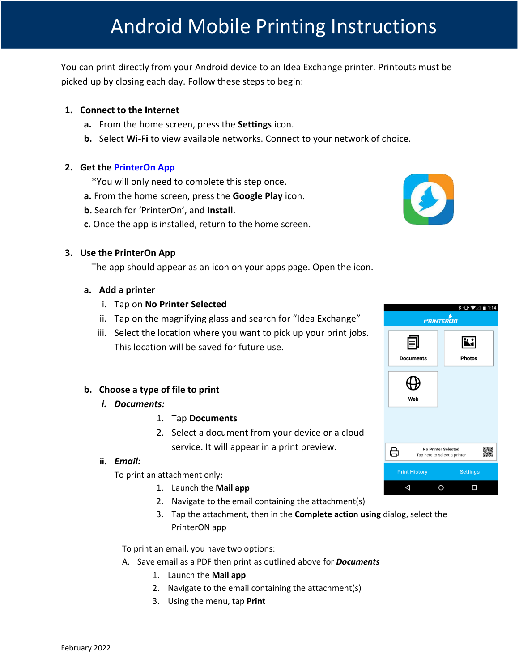You can print directly from your Android device to an Idea Exchange printer. Printouts must be picked up by closing each day. Follow these steps to begin:

## **1. Connect to the Internet**

- **a.** From the home screen, press the **Settings** icon.
- **b.** Select **Wi-Fi** to view available networks. Connect to your network of choice.

### **2. Get the [PrinterOn App](https://play.google.com/store/apps/details?id=com.printeron.droid.phone&hl=en)**

\*You will only need to complete this step once.

- **a.** From the home screen, press the **Google Play** icon.
- **b.** Search for 'PrinterOn', and **Install**.
- **c.** Once the app is installed, return to the home screen.

### **3. Use the PrinterOn App**

The app should appear as an icon on your apps page. Open the icon.

### **a. Add a printer**

- i. Tap on **No Printer Selected**
- ii. Tap on the magnifying glass and search for "Idea Exchange"
- iii. Select the location where you want to pick up your print jobs. This location will be saved for future use.

## **b. Choose a type of file to print**

- *i. Documents:*
	- 1. Tap **Documents**
	- 2. Select a document from your device or a cloud

service. It will appear in a print preview.

### **ii.** *Email:*

To print an attachment only:

- 1. Launch the **Mail app**
- 2. Navigate to the email containing the attachment(s)
- 3. Tap the attachment, then in the **Complete action using** dialog, select the PrinterON app

To print an email, you have two options:

- A. Save email as a PDF then print as outlined above for *Documents*
	- 1. Launch the **Mail app**
	- 2. Navigate to the email containing the attachment(s)
	- 3. Using the menu, tap **Print**